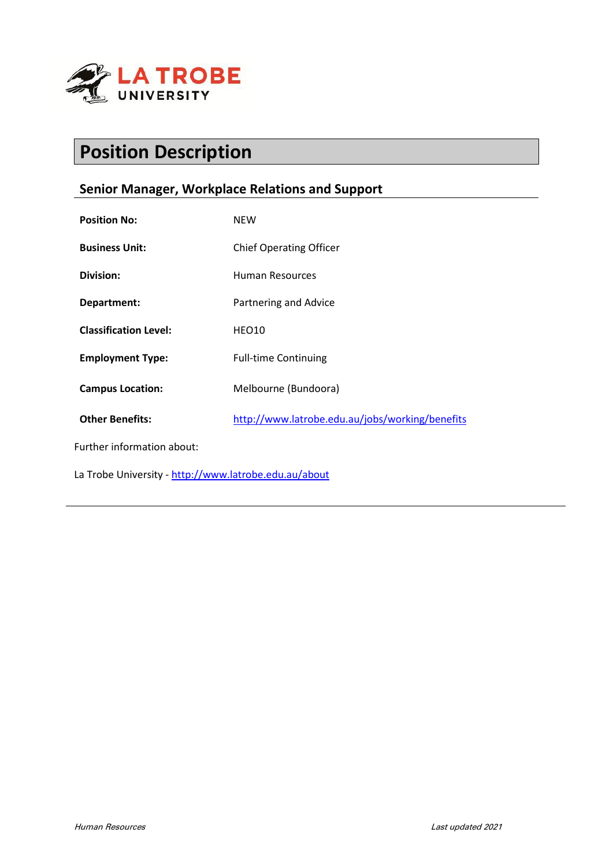

# **Position Description**

# **Senior Manager, Workplace Relations and Support**

| <b>Position No:</b>                                   | <b>NEW</b>                                      |
|-------------------------------------------------------|-------------------------------------------------|
| <b>Business Unit:</b>                                 | <b>Chief Operating Officer</b>                  |
| Division:                                             | Human Resources                                 |
| Department:                                           | Partnering and Advice                           |
| <b>Classification Level:</b>                          | HEO10                                           |
| <b>Employment Type:</b>                               | <b>Full-time Continuing</b>                     |
| <b>Campus Location:</b>                               | Melbourne (Bundoora)                            |
| <b>Other Benefits:</b>                                | http://www.latrobe.edu.au/jobs/working/benefits |
| Further information about:                            |                                                 |
| La Trobe University - http://www.latrobe.edu.au/about |                                                 |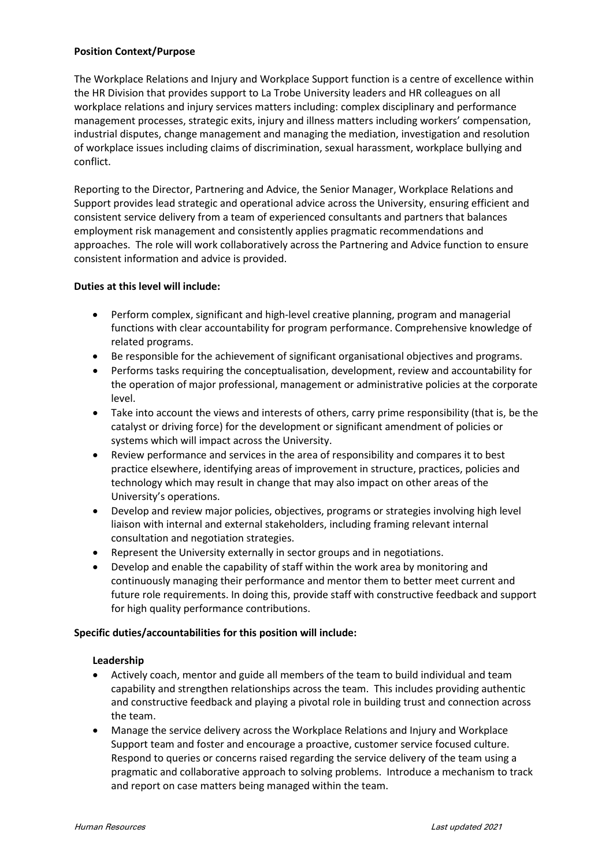#### **Position Context/Purpose**

The Workplace Relations and Injury and Workplace Support function is a centre of excellence within the HR Division that provides support to La Trobe University leaders and HR colleagues on all workplace relations and injury services matters including: complex disciplinary and performance management processes, strategic exits, injury and illness matters including workers' compensation, industrial disputes, change management and managing the mediation, investigation and resolution of workplace issues including claims of discrimination, sexual harassment, workplace bullying and conflict.

Reporting to the Director, Partnering and Advice, the Senior Manager, Workplace Relations and Support provides lead strategic and operational advice across the University, ensuring efficient and consistent service delivery from a team of experienced consultants and partners that balances employment risk management and consistently applies pragmatic recommendations and approaches. The role will work collaboratively across the Partnering and Advice function to ensure consistent information and advice is provided.

## **Duties at this level will include:**

- Perform complex, significant and high-level creative planning, program and managerial functions with clear accountability for program performance. Comprehensive knowledge of related programs.
- Be responsible for the achievement of significant organisational objectives and programs.
- Performs tasks requiring the conceptualisation, development, review and accountability for the operation of major professional, management or administrative policies at the corporate level.
- Take into account the views and interests of others, carry prime responsibility (that is, be the catalyst or driving force) for the development or significant amendment of policies or systems which will impact across the University.
- Review performance and services in the area of responsibility and compares it to best practice elsewhere, identifying areas of improvement in structure, practices, policies and technology which may result in change that may also impact on other areas of the University's operations.
- Develop and review major policies, objectives, programs or strategies involving high level liaison with internal and external stakeholders, including framing relevant internal consultation and negotiation strategies.
- Represent the University externally in sector groups and in negotiations.
- Develop and enable the capability of staff within the work area by monitoring and continuously managing their performance and mentor them to better meet current and future role requirements. In doing this, provide staff with constructive feedback and support for high quality performance contributions.

#### **Specific duties/accountabilities for this position will include:**

#### **Leadership**

- Actively coach, mentor and guide all members of the team to build individual and team capability and strengthen relationships across the team. This includes providing authentic and constructive feedback and playing a pivotal role in building trust and connection across the team.
- Manage the service delivery across the Workplace Relations and Injury and Workplace Support team and foster and encourage a proactive, customer service focused culture. Respond to queries or concerns raised regarding the service delivery of the team using a pragmatic and collaborative approach to solving problems. Introduce a mechanism to track and report on case matters being managed within the team.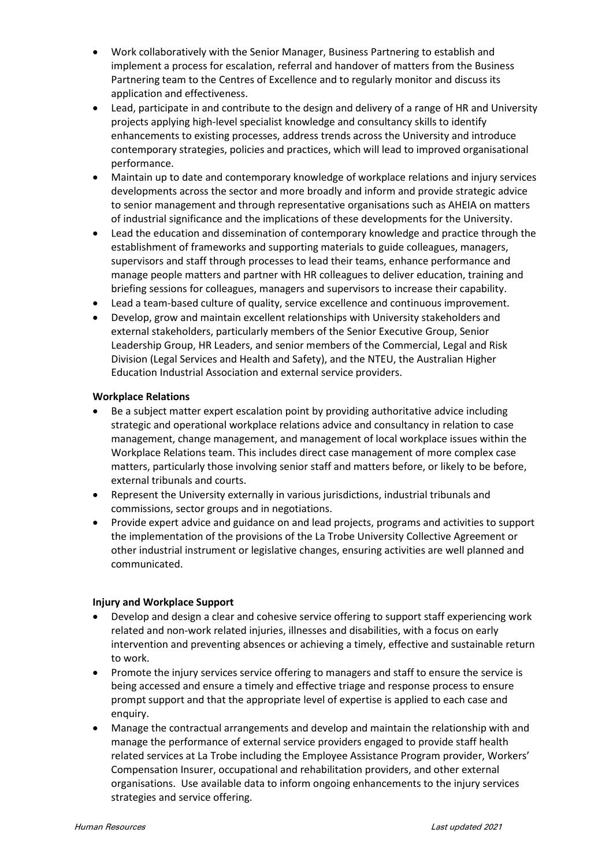- Work collaboratively with the Senior Manager, Business Partnering to establish and implement a process for escalation, referral and handover of matters from the Business Partnering team to the Centres of Excellence and to regularly monitor and discuss its application and effectiveness.
- Lead, participate in and contribute to the design and delivery of a range of HR and University projects applying high-level specialist knowledge and consultancy skills to identify enhancements to existing processes, address trends across the University and introduce contemporary strategies, policies and practices, which will lead to improved organisational performance.
- Maintain up to date and contemporary knowledge of workplace relations and injury services developments across the sector and more broadly and inform and provide strategic advice to senior management and through representative organisations such as AHEIA on matters of industrial significance and the implications of these developments for the University.
- Lead the education and dissemination of contemporary knowledge and practice through the establishment of frameworks and supporting materials to guide colleagues, managers, supervisors and staff through processes to lead their teams, enhance performance and manage people matters and partner with HR colleagues to deliver education, training and briefing sessions for colleagues, managers and supervisors to increase their capability.
- Lead a team-based culture of quality, service excellence and continuous improvement.
- Develop, grow and maintain excellent relationships with University stakeholders and external stakeholders, particularly members of the Senior Executive Group, Senior Leadership Group, HR Leaders, and senior members of the Commercial, Legal and Risk Division (Legal Services and Health and Safety), and the NTEU, the Australian Higher Education Industrial Association and external service providers.

#### **Workplace Relations**

- Be a subject matter expert escalation point by providing authoritative advice including strategic and operational workplace relations advice and consultancy in relation to case management, change management, and management of local workplace issues within the Workplace Relations team. This includes direct case management of more complex case matters, particularly those involving senior staff and matters before, or likely to be before, external tribunals and courts.
- Represent the University externally in various jurisdictions, industrial tribunals and commissions, sector groups and in negotiations.
- Provide expert advice and guidance on and lead projects, programs and activities to support the implementation of the provisions of the La Trobe University Collective Agreement or other industrial instrument or legislative changes, ensuring activities are well planned and communicated.

#### **Injury and Workplace Support**

- Develop and design a clear and cohesive service offering to support staff experiencing work related and non-work related injuries, illnesses and disabilities, with a focus on early intervention and preventing absences or achieving a timely, effective and sustainable return to work.
- Promote the injury services service offering to managers and staff to ensure the service is being accessed and ensure a timely and effective triage and response process to ensure prompt support and that the appropriate level of expertise is applied to each case and enquiry.
- Manage the contractual arrangements and develop and maintain the relationship with and manage the performance of external service providers engaged to provide staff health related services at La Trobe including the Employee Assistance Program provider, Workers' Compensation Insurer, occupational and rehabilitation providers, and other external organisations. Use available data to inform ongoing enhancements to the injury services strategies and service offering.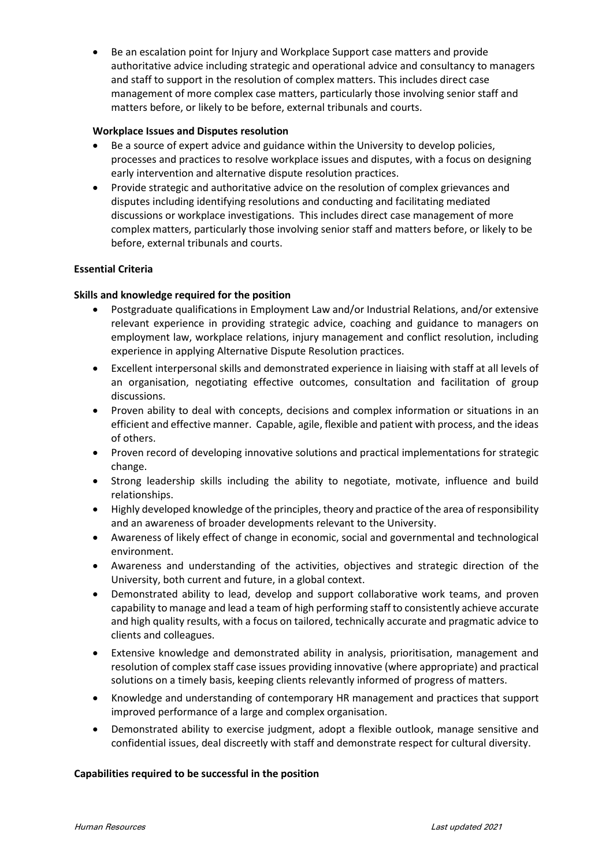• Be an escalation point for Injury and Workplace Support case matters and provide authoritative advice including strategic and operational advice and consultancy to managers and staff to support in the resolution of complex matters. This includes direct case management of more complex case matters, particularly those involving senior staff and matters before, or likely to be before, external tribunals and courts.

#### **Workplace Issues and Disputes resolution**

- Be a source of expert advice and guidance within the University to develop policies, processes and practices to resolve workplace issues and disputes, with a focus on designing early intervention and alternative dispute resolution practices.
- Provide strategic and authoritative advice on the resolution of complex grievances and disputes including identifying resolutions and conducting and facilitating mediated discussions or workplace investigations. This includes direct case management of more complex matters, particularly those involving senior staff and matters before, or likely to be before, external tribunals and courts.

#### **Essential Criteria**

#### **Skills and knowledge required for the position**

- Postgraduate qualifications in Employment Law and/or Industrial Relations, and/or extensive relevant experience in providing strategic advice, coaching and guidance to managers on employment law, workplace relations, injury management and conflict resolution, including experience in applying Alternative Dispute Resolution practices.
- Excellent interpersonal skills and demonstrated experience in liaising with staff at all levels of an organisation, negotiating effective outcomes, consultation and facilitation of group discussions.
- Proven ability to deal with concepts, decisions and complex information or situations in an efficient and effective manner. Capable, agile, flexible and patient with process, and the ideas of others.
- Proven record of developing innovative solutions and practical implementations for strategic change.
- Strong leadership skills including the ability to negotiate, motivate, influence and build relationships.
- Highly developed knowledge of the principles, theory and practice of the area of responsibility and an awareness of broader developments relevant to the University.
- Awareness of likely effect of change in economic, social and governmental and technological environment.
- Awareness and understanding of the activities, objectives and strategic direction of the University, both current and future, in a global context.
- Demonstrated ability to lead, develop and support collaborative work teams, and proven capability to manage and lead a team of high performing staff to consistently achieve accurate and high quality results, with a focus on tailored, technically accurate and pragmatic advice to clients and colleagues.
- Extensive knowledge and demonstrated ability in analysis, prioritisation, management and resolution of complex staff case issues providing innovative (where appropriate) and practical solutions on a timely basis, keeping clients relevantly informed of progress of matters.
- Knowledge and understanding of contemporary HR management and practices that support improved performance of a large and complex organisation.
- Demonstrated ability to exercise judgment, adopt a flexible outlook, manage sensitive and confidential issues, deal discreetly with staff and demonstrate respect for cultural diversity.

#### **Capabilities required to be successful in the position**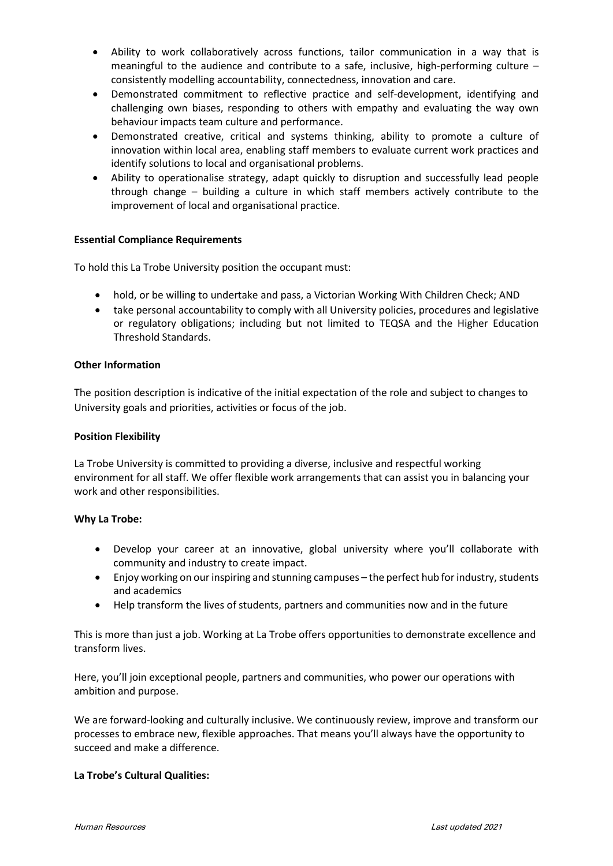- Ability to work collaboratively across functions, tailor communication in a way that is meaningful to the audience and contribute to a safe, inclusive, high-performing culture – consistently modelling accountability, connectedness, innovation and care.
- Demonstrated commitment to reflective practice and self-development, identifying and challenging own biases, responding to others with empathy and evaluating the way own behaviour impacts team culture and performance.
- Demonstrated creative, critical and systems thinking, ability to promote a culture of innovation within local area, enabling staff members to evaluate current work practices and identify solutions to local and organisational problems.
- Ability to operationalise strategy, adapt quickly to disruption and successfully lead people through change – building a culture in which staff members actively contribute to the improvement of local and organisational practice.

### **Essential Compliance Requirements**

To hold this La Trobe University position the occupant must:

- hold, or be willing to undertake and pass, a Victorian Working With Children Check; AND
- take personal accountability to comply with all University policies, procedures and legislative or regulatory obligations; including but not limited to TEQSA and the Higher Education Threshold Standards.

#### **Other Information**

The position description is indicative of the initial expectation of the role and subject to changes to University goals and priorities, activities or focus of the job.

#### **Position Flexibility**

La Trobe University is committed to providing a diverse, inclusive and respectful working environment for all staff. We offer flexible work arrangements that can assist you in balancing your work and other responsibilities.

#### **Why La Trobe:**

- Develop your career at an innovative, global university where you'll collaborate with community and industry to create impact.
- Enjoy working on our inspiring and stunning campuses the perfect hub for industry, students and academics
- Help transform the lives of students, partners and communities now and in the future

This is more than just a job. Working at La Trobe offers opportunities to demonstrate excellence and transform lives.

Here, you'll join exceptional people, partners and communities, who power our operations with ambition and purpose.

We are forward-looking and culturally inclusive. We continuously review, improve and transform our processes to embrace new, flexible approaches. That means you'll always have the opportunity to succeed and make a difference.

#### **La Trobe's Cultural Qualities:**